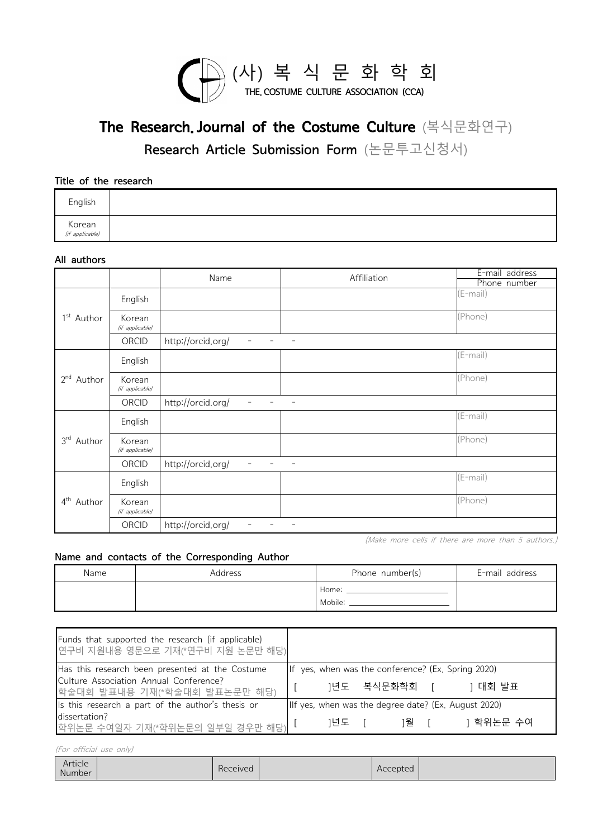

Research Article Submission Form (논문투고신청서)

Title of the research

| English                   |  |
|---------------------------|--|
| Korean<br>(if applicable) |  |

### All authors

| Korean<br>(if applicable) |                           |                                               |                          |                                |
|---------------------------|---------------------------|-----------------------------------------------|--------------------------|--------------------------------|
| All authors               |                           |                                               |                          |                                |
|                           |                           | Name                                          | Affiliation              | E-mail address<br>Phone number |
| 1 <sup>st</sup> Author    | English                   |                                               |                          | (E-mail)                       |
|                           | Korean<br>(if applicable) |                                               |                          | (Phone)                        |
|                           | ORCID                     | http://orcid.org/<br>$\overline{\phantom{a}}$ | $\overline{\phantom{a}}$ |                                |
| 2 <sup>nd</sup><br>Author | English                   |                                               |                          | $E$ -mail)                     |
|                           | Korean<br>(if applicable) |                                               |                          | (Phone)                        |
|                           | ORCID                     | http://orcid.org/<br>$\overline{\phantom{a}}$ | $\overline{\phantom{a}}$ |                                |
| 3 <sup>rd</sup><br>Author | English                   |                                               |                          | $(E-mail)$                     |
|                           | Korean<br>(if applicable) |                                               |                          | (Phone)                        |
|                           | ORCID                     | http://orcid.org/<br>$\overline{a}$           | $\overline{\phantom{a}}$ |                                |
| $4^{\text{th}}$<br>Author | English                   |                                               |                          | (E-mail)                       |
|                           | Korean<br>(if applicable) |                                               |                          | (Phone)                        |
|                           | ORCID                     | http://orcid.org/<br>$\overline{\phantom{a}}$ | $\overline{\phantom{a}}$ |                                |

### Name and contacts of the Corresponding Author

|      | ORCID | http://orcid.org/<br>the contract of the      |                                                                                                                |                                                     |
|------|-------|-----------------------------------------------|----------------------------------------------------------------------------------------------------------------|-----------------------------------------------------|
|      |       |                                               |                                                                                                                | (Make more cells if there are more than 5 authors.) |
|      |       | Name and contacts of the Corresponding Author |                                                                                                                |                                                     |
| Name |       | Address                                       | Phone number(s)                                                                                                | E-mail address                                      |
|      |       |                                               | Home: the control of the control of the control of the control of the control of the control of the control of |                                                     |
|      |       |                                               | Mobile:                                                                                                        |                                                     |

|                                                                                       | Home: The Home of the Magnesius of the Magnesius of the Magnesius of the Magnesius of the Magnesius of the Magnesius of the Magnesius of the Magnesius of the Magnesius of the Magnesius of the Magnesius of the Magnesius of<br>Mobile: _____________ |            |                                                      |
|---------------------------------------------------------------------------------------|--------------------------------------------------------------------------------------------------------------------------------------------------------------------------------------------------------------------------------------------------------|------------|------------------------------------------------------|
|                                                                                       |                                                                                                                                                                                                                                                        |            |                                                      |
| Funds that supported the research (if applicable)<br>연구비 지원내용 영문으로 기재(*연구비 지원 논문만 해당) |                                                                                                                                                                                                                                                        |            |                                                      |
| Has this research been presented at the Costume                                       |                                                                                                                                                                                                                                                        |            | If yes, when was the conference? (Ex. Spring 2020)   |
| Culture Association Annual Conference?<br> 학술대회 발표내용 기재(*학술대회 발표논문만 해당)               |                                                                                                                                                                                                                                                        |            | 1년도 복식문화학회 [ ]대회 발표                                  |
| Is this research a part of the author's thesis or                                     |                                                                                                                                                                                                                                                        |            | IIf yes, when was the degree date? (Ex. August 2020) |
| dissertation?<br>학위논문 수여일자 기재(*학위논문의 일부일 경우만 해당)                                      |                                                                                                                                                                                                                                                        | ]년도 [ ]월 [ | ] 학위논문 수여                                            |
| (For official use only)                                                               |                                                                                                                                                                                                                                                        |            |                                                      |
| <b>Article</b>                                                                        |                                                                                                                                                                                                                                                        |            |                                                      |

| Article<br>Number |  | Received |  | Accepted |  |
|-------------------|--|----------|--|----------|--|
|-------------------|--|----------|--|----------|--|